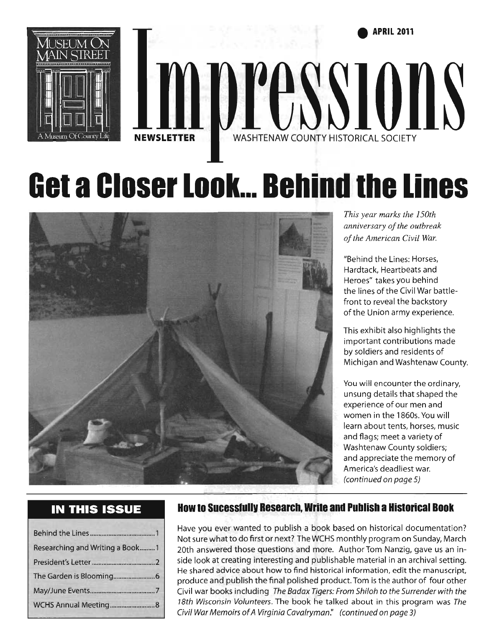**• APRIL 2011** 





# **Get a Closer Look... Behind the Lines**



*This year marks the 150th anniversary of the outbreak of the American Civil War.* 

"Behind the Lines: Horses, Hardtack, Heartbeats and Heroes" takes you behind the lines of the Civil War battlefront to reveal the backstory of the Union army experience.

This exhibit also highlights the important contributions made by soldiers and residents of Michigan and Washtenaw County.

You will encounter the ordinary, unsung details that shaped the experience of our men and women in the 1860s. You will learn about tents, horses, music and flags; meet a variety of Washtenaw County soldiers; and appreciate the memory of America's deadliest war. (continued on page 5)

### **IN THIS ISSUE**

| Researching and Writing a Book1 |  |
|---------------------------------|--|
|                                 |  |
|                                 |  |
|                                 |  |
|                                 |  |

### **How to Sucesslullv Research, Write and Publish a Historical Book**

Have you ever wanted to publish a book based on historical documentation? Not sure what to do first or next? The WCHS monthly program on Sunday, March 20th answered those questions and more. Author Tom Nanzig, gave us an inside look at creating interesting and publishable material in an archival setting. He shared advice about how to find historical information, edit the manuscript, produce and publish the final polished product. Tom is the author of four other Civil war books including The Badax Tigers: From Shiloh to the Surrender with the 18th *Wisconsin Volunteers.* The book he talked about in this program was *The*  Civil War Memoirs of A Virginia Cavalryman." (continued on page 3)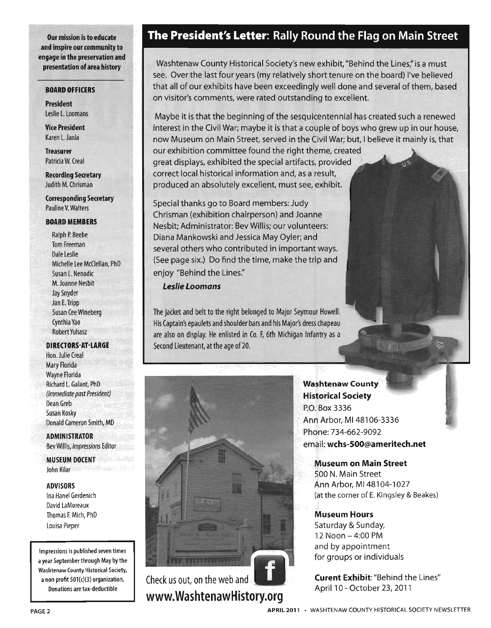Our mission is to educate and inspire our community to engage in the preservation and presentation of area history

#### BOARD OFFICERS

President Leslie L. Loomans

Vice President Karen L. Jania

**Treasurer** Patricia W. Creal

Recording Secretary Judith M. Chrisman

Corresponding Secretary Pauline V. Walters

#### BOARD MEMBERS

Ralph P. Beebe Tom Freeman Dale Leslie Michelle Lee McClellan, PhD Susan L. Nenadic M. Joanne Nesbit Jay Snyder Jan E. Tripp Susan Cee Wineberg Cynthia Yao Robert Yuhasz

#### DIRECTORS-AT-LARGE

Hon. Julie Creal Mary Florida Wayne Florida Richard L. Galant, PhD (Immediate past President) Dean Greb Susan Kosky Donald Cameron Smith, MD

**ADMINISTRATOR** Bev Willis, Impressions Editor

MUSEUM DOCENT John Kilar

#### ADVISORS

Ina Hanel Gerdenich David LaMoreaux Thomas F. Mich, PhD Louisa Pieper

Impressions is published seven times a year September through May by the Washtenaw County Historical Society, a non profit  $501(c)(3)$  organization. Donations are tax-deductible

### **The** President's Letter: Rally Round the Flag on Main Street

Washtenaw County Historical Society's new exhibit, "Behind the Lines," is a must see. Over the last four years (my relatively short tenure on the board) I've believed that all of our exhibits have been exceedingly well done and several of them, based on visitor's comments, were rated outstanding to exceilent.

Maybe it is that the beginning ofthe sesquicentennial has created such a renewed interest in the Civil War; maybe it is that a couple of boys who grew up in our house, now Museum on Main Street, served in the Civil War; but, I believe it mainly is, that

our exhibition committee found the right theme, created great displays, exhibited the special artifacts, provided correct local historical information and, as a result, produced an absolutely excellent, must see, exhibit.

Special thanks go to Board members: Judy Chrisman (exhibition chairperson) and Joanne Nesbit; Administrator: Bev Willis; our volunteers: Diana Mankowski and Jessica May Oyler; and several others who contributed in important ways. (See page six.) Do find the time, make the trip and enjoy "Behind the Lines."

#### Leslie Loomans

The jacket and belt to the right belonged to Major Seymour Howell. His Captain's epaulets and shoulder bars and his Major's dress chapeau are also on display. He enlisted in Co. F, 6th Michigan Infantry as a Second Lieutenant, at the age of 20.



Check us out, on the web and www.WashtenawHistory.org Washtenaw County Historical Society P.O. Box 3336 Ann Arbor, M148106-3336 Phone: 734-662-9092 email: wchs-SOO@ameritech.net

Museum on Main Street 500 N. Main Street Ann Arbor, MI 48104-1027 (at the corner of E. Kingsley & Beakes)

Museum Hours Saturday & Sunday, 12 Noon - 4:00 PM and by appointment for groups or individuals

Curent Exhibit: "Behind the Lines" April 10 - October 23, 2011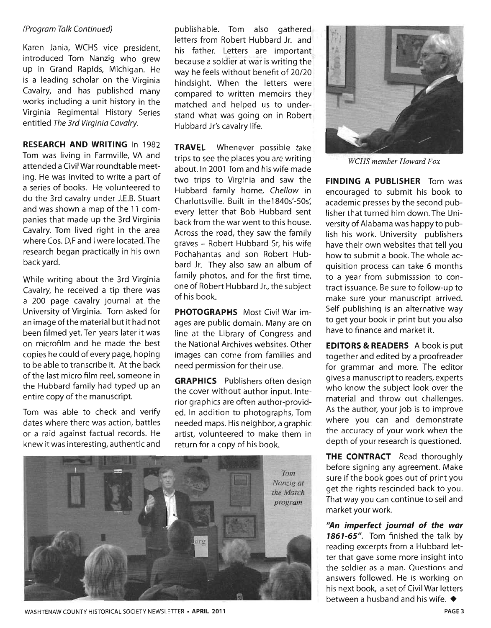#### (Program Talk Continued)

Karen Jania, WCHS vice president, introduced Tom Nanzig who grew up in Grand Rapids, Michigan. He is a leading scholar on the Virginia Cavalry, and has published many works including a unit history in the Virginia Regimental History Series entitled The 3rd Virginia Cavalry.

**RESEARCH AND WRITING** In 1982 Tom was living in Farmville, VA and attended a Civil War roundtable meeting. He was invited to write a part of a series of books. He volunteered to do the 3rd cavalry under J.E.B. Stuart and was shown a map of the 11 companies that made up the 3rd Virginia Cavalry. Tom lived right in the area where Cos. D,F and I were located. The research began practically in his own back yard.

While writing about the 3rd Virginia Cavalry, he received a tip there was a 200 page cavalry journal at the University of Virginia. Tom asked for an image of the material but it had not been filmed yet. Ten years later it was on microfilm and he made the best copies he could of every page, hoping to be able to transcribe it. At the back of the last micro film reel, someone in the Hubbard family had typed up an entire copy of the manuscript.

Tom was able to check and verify dates where there was action, battles or a raid against factual records. He knew it was interesting, authentic and publishable. Tom also gathered letters from Robert Hubbard Jr. and his father. Letters are important because a soldier at war is writing the way he feels without benefit of 20/20 hindsight. When the letters were compared to written memoirs they matched and helped us to understand what was going on in Robert Hubbard Jr's cavalry life.

**TRAVEL** Whenever possible take trips to see the places you are writing about. In 2001 Tom and his wife made two trips to Virginia and saw the Hubbard family home, Chellow in Charlottsville. Built in the1840s'-SOs: every letter that Bob Hubbard sent back from the war went to this house. Across the road, they saw the family graves - Robert Hubbard Sr, his wife Pochahantas and son Robert Hubbard Jr. They also saw an album of family photos, and for the first time, one of Robert Hubbard Jr., the subject of his book.

**PHOTOGRAPHS** Most Civil War images are public domain. Many are on line at the Library of Congress and the National Archives websites. Other images can come from families and need permission for their use.

**GRAPHICS** Publishers often design the cover without author input. Interior graphics are often author-provided. In addition to photographs, Tom needed maps. His neighbor, a graphic artist, volunteered to make them in return for a copy of his book.





*weHS member Howard Fox* 

**FINDING A PUBLISHER** Tom was encouraged to submit his book to academic presses by the second publisher that turned him down. The University of Alabama was happy to publish his work. University publishers have their own websites that tell you how to submit a book. The whole acquisition process can take 6 months to a year from submisssion to contract issuance. Be sure to follow-up to make sure your manuscript arrived. Self publishing is an alternative way to get your book in print but you also have to finance and market it.

**EDITORS & READERS** A book is put together and edited by a proofreader for grammar and more. The editor gives a manuscript to readers, experts who know the subject look over the material and throw out challenges. As the author, your job is to improve where you can and demonstrate the accuracy of your work when the depth of your research is questioned.

**THE CONTRACT** Read thoroughly before signing any agreement. Make sure if the book goes out of print you get the rights rescinded back to you. That way you can continue to sell and market your work.

~n **imperfect journal of the war**  1861-65". Tom finished the talk by reading excerpts from a Hubbard letter that gave some more insight into the soldier as a man. Questions and answers followed. He is working on his next book, a set of Civil War letters between a husband and his wife.  $\blacklozenge$ 

WASHTENAW COUNTY HISTORICAL SOCIETY NEWSLETTER· APRIL 2011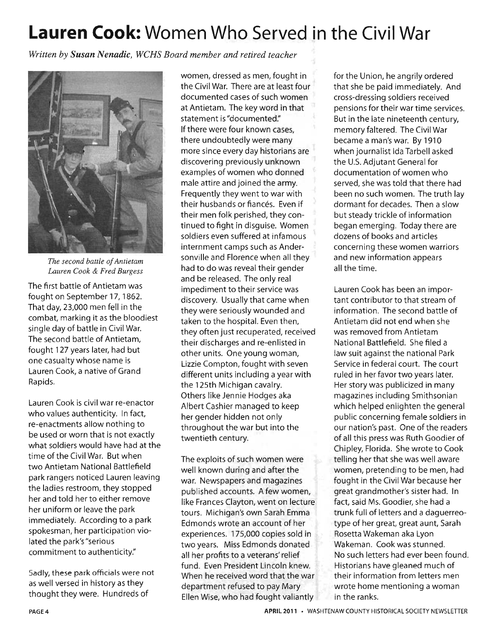# **Lauren Cook: Women Who Served in the Civil War**

*Written by Susan Nenadic, WCHS Board member and retired teacher* 



*The second battle of Antietam Lauren Cook* & *Fred Burgess* 

The first battle of Antietam was fought on September 17, 1862. That day, 23,000 men fell in the combat, marking it as the bloodiest single day of battle in Civil War. The second battle of Antietam, fought 127 years later, had but one casualty whose name is Lauren Cook, a native of Grand Rapids.

Lauren Cook is civil war re-enactor who values authenticity. In fact, re-enactments allow nothing to be used or worn that is not exactly what soldiers would have had at the time of the Civil War. But when two Antietam National Battlefield park rangers noticed Lauren leaving the ladies restroom, they stopped her and told her to either remove her uniform or leave the park immediately. According to a park spokesman, her participation violated the park's "serious commitment to authenticity."

Sadly, these park officials were not as well versed in history as they thought they were. Hundreds of

women, dressed as men, fought in the Civil War. There are at least four documented cases of such women at Antietam. The key word in that statement is "documented:' If there were four known cases, there undoubtedly were many more since every day historians are discovering previously unknown examples of women who donned male attire and joined the army. Frequently they went to war with their husbands or fiancés. Even if their men folk perished, they continued to fight in disguise. Women soldiers even suffered at infamous internment camps such as Andersonville and Florence when all they had to do was reveal their gender and be released. The only real impediment to their service was discovery. Usually that came when they were seriously wounded and taken to the hospital. Even then, they often just recuperated, received their discharges and re-enlisted in other units. One young woman, Lizzie Compton, fought with seven different units including a year with the 125th Michigan cavalry. Others like Jennie Hodges aka Albert Cashier managed to keep her gender hidden not only throughout the war but into the twentieth century.

The exploits of such women were well known during and after the war. Newspapers and magazines published accounts. A few women, like Frances Clayton, went on lecture tours. Michigan's own Sarah Emma Edmonds wrote an account of her experiences. 175,000 copies sold in two years. Miss Edmonds donated all her profits to a veterans' relief fund. Even President Lincoln knew. When he received word that the war department refused to pay Mary Ellen Wise, who had fought valiantly for the Union, he angrily ordered that she be paid immediately. And cross-dressing soldiers received pensions for their war time services. But in the late nineteenth century, memory faltered. The Civil War became a man's war. By 1910 when journalist Ida Tarbell asked the U.S. Adiutant General for documentation of women who served, she was told that there had been no such women. The truth lay dormant for decades. Then a slow but steady trickle of information began emerging. Today there are dozens of books and articles concerning these women warriors and new information appears all the time.

Lauren Cook has been an important contributor to that stream of information. The second battle of Antietam did not end when she was removed from Antietam National Battlefield. She filed a law suit against the national Park Service in federal court. The court ruled in her favor two years later. Her story was publicized in many magazines including Smithsonian which helped enlighten the general public concerning female soldiers in our nation's past. One of the readers of all this press was Ruth Goodier of Chipley, Florida. She wrote to Cook telling her that she was well aware women, pretending to be men, had fought in the Civil War because her great grandmother's sister had. In fact, said Ms. Goodier, she had a trunk full of letters and a daguerreotype of her great, great aunt, Sarah Rosetta Wakeman aka Lyon Wakeman. Cook was stunned. No such letters had ever been found. Historians have gleaned much of their information from letters men wrote home mentioning a woman in the ranks.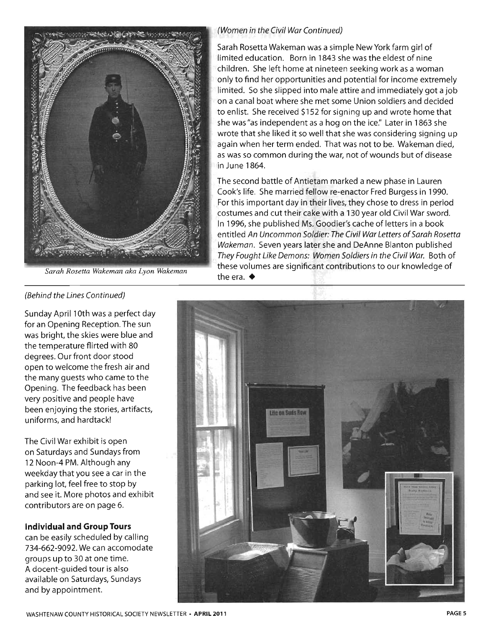

*Sarah Rosetta Wakeman aka Lyon Wakeman* 

#### (Women in the Civil War Continued)

Sarah Rosetta Wakeman was a simple New York farm girl of limited education. Born in 1843 she was the eldest of nine children. She left home at nineteen seeking work as a woman only to find her opportunities and potential for income extremely limited. So she slipped into male attire and immediately got a job on a canal boat where she met some Union soldiers and decided to enlist. She received \$152 for signing up and wrote home that she was "as independent as a hog on the ice." Later in 1863 she wrote that she liked it so well that she was considering signing up again when her term ended. That was not to be. Wakeman died, as was so common during the war, not of wounds but of disease in June 1864.

The second battle of Antietam marked a new phase in Lauren Cook's life. She married fellow re-enactor Fred Burgess in 1990. For this important day in their lives, they chose to dress in period costumes and cut their cake with a 130 year old Civil War sword. In 1996, she published Ms. Goodier's cache of letters in a book entitled An Uncommon Soldier: The Civil War Letters of Sarah Rosetta Wakeman. Seven years later she and DeAnne Blanton published They Fought Like Demons: Women Soldiers in the Civil War. Both of these volumes are significant contributions to our knowledge of the era.  $\triangleleft$ 

#### (Behind the Lines Continued)

Sunday April 10th was a perfect day for an Opening Reception. The sun was bright, the skies were blue and the temperature flirted with 80 degrees. Our front door stood open to welcome the fresh air and the many guests who came to the Opening. The feedback has been very positive and people have been enjoying the stories, artifacts, uniforms, and hardtack!

The Civil War exhibit is open on Saturdays and Sundays from 12 Noon-4 PM. Although any weekday that you see a car in the parking lot, feel free to stop by and see it. More photos and exhibit contributors are on page 6.

#### **Individual and Group Tours**

can be easily scheduled by calling 734-662-9092. We can accomodate groups up to 30 at one time. A docent-guided tour is also available on Saturdays, Sundays and by appointment.

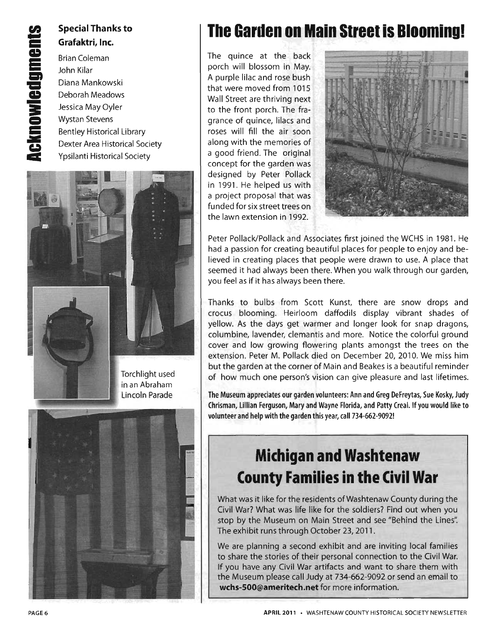### **Special Thanks to Grafaktri, Inc.**

Brian Coleman John Kilar Diana Mankowski Deborah Meadows Jessica May Oyler Wystan Stevens Bentley Historical Library Dexter Area Historical Society Ypsilanti Historical Society



# **The Garden on Main Street is Blooming!**

The quince at the back porch will blossom in May. A purple lilac and rose bush that were moved from 1015 Wall Street are thriving next to the front porch. The fragrance of quince, lilacs and roses will fill the air soon along with the memories of a good friend. The original concept for the garden was designed by Peter Pollack in 1991. He helped us with a project proposal that was funded for six street trees on the lawn extension in 1992.



Peter Pollack/Pollack and Associates first joined the WCHS in 1981. He had a passion for creating beautiful places for people to enjoy and believed in creating places that people were drawn to use. A place that seemed it had always been there. When you walk through our garden, you feel as if it has always been there.

Thanks to bulbs from Scott Kunst, there are snow drops and crocus blooming. Heirloom daffodils display vibrant shades of yellow. As the days get warmer and longer look for snap dragons, columbine, lavender, clemantis and more. Notice the colorful ground cover and low growing flowering plants amongst the trees on the extension. Peter M. Pollack died on December 20, 2010. We miss him but the garden at the corner of Main and Beakes is a beautiful reminder of how much one person's vision can give pleasure and last lifetimes.

The Museum appreciates our garden volunteers: Ann and Greg DeFreytas, Sue Kosky, Judy Chrisman, lillian Ferguson, Mary and Wayne Florida, and Patty Creal. If you would like to volunteer and help with the garden this year, call 734-662-9092!

# **Michigan and Washtenaw County Families in the Civil War**

What was it like for the residents of Washtenaw County during the Civil War? What was life like for the soldiers? Find out when you stop by the Museum on Main Street and see "Behind the Lines". The exhibit runs through October 23,2011.

We are planning a second exhibit and are inviting local families to share the stories of their personal connection to the Civil War. If you have any Civil War artifacts and want to share them with the Museum please call Judy at 734-662-9092 or send an email to **wchs-SOO@ameritech.net** for more information.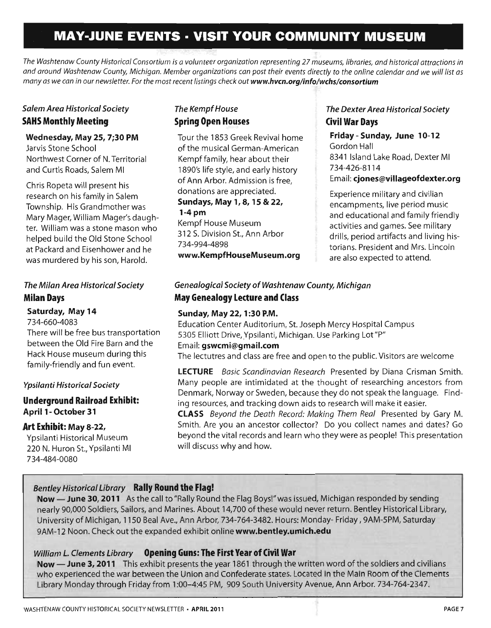# **MAY-JUNE EVENTS · VISIT YOUR COMMUNITY MUSEUM**

*The Washtenaw County Historical Consortium is a volunteer organization representing* 27 *museums, libraries, and historical attractions in and around Washtenaw County, Michigan. Member organizations can post their events directly to the online calendar and we will list as*  many as we can in our newsletter. For the most recent listings check out www.hvcn.org/info/wchs/consortium

#### Salem Area Historical Society SAHS Monthly Meeting

#### Wednesday, May 25, 7;30 PM

Jarvis Stone School Northwest Corner of N. Territorial and Curtis Roads, Salem MI

Chris Ropeta will present his research on his family in Salem Township. His Grandmother was Mary Mager, William Mager's daughter. William was a stone mason who helped build the Old Stone School at Packard and Eisenhower and he was murdered by his son, Harold.

#### The Milan Area Historical Society Milan Days

#### Saturday, May 14

734-660-4083

There will be free bus transportation between the Old Fire Barn and the Hack House museum during this family-friendly and fun event.

#### Ypsilanti Historical Society

Underground Railroad Exhibit: April 1- October 31

#### Art Exhibit: May 8-22,

Ypsilanti Historical Museum 220 N. Huron St., Ypsilanti MI 734-484-0080

#### The Kempf House Spring Open Houses

Tour the 1853 Greek Revival home of the musical German-American Kempffamily, hear about their 1890's life style, and early history of Ann Arbor. Admission is free, donations are appreciated. Sundays, May 1, 8, 15 & 22,  $1-4$  pm Kempf House Museum

312 S. Division St., Ann Arbor 734-994-4898 www.KempfHouseMuseum.org

#### The Dexter Area Historical Society Civil War Days

Friday - Sunday, June 10-12 Gordon Hall 8341 Island Lake Road, Dexter MI 734-426-8114 Email: cjones@villageofdexter.org

Experience military and civilian encampments, live period music and educational and family friendly activities and games. See military drills, period artifacts and living historians. President and Mrs. Lincoln are also expected to attend.

### Genealogical Society of Washtenaw County, Michigan May Genealogy Lecture and Class

#### Sunday, May 22, 1 :30 P.M.

Education Center Auditorium, St. Joseph Mercy Hospital Campus 5305 Elliott Drive,Ypsiianti, Michigan. Use Parking Lot"P" Email: gswcmi@gmail.com The lectutres and class are free and open to the public. Visitors are welcome

LECTURE Basic Scandinavian Research Presented by Diana Crisman Smith. Many people are intimidated at the thought of researching ancestors from Denmark, Norway or Sweden, because they do not speak the language. Finding resources, and tracking down aids to research will make it easier.

CLASS Beyond the Death Record: Making Them Real Presented by Gary M. Smith. Are you an ancestor collector? Do you collect names and dates? Go beyond the vital records and learn who they were as people! This presentation will discuss why and how.

#### Bentley Historical Library Rally Round the Flag!

Now - June 30, 2011 As the call to "Rally Round the Flag Boys!" was issued, Michigan responded by sending nearly 90,000 Soldiers, Sailors, and Marines. About 14,700 of these would never return. Bentley Historical Library, University of Michigan, 1150 Beal Ave., Ann Arbor, 734-764-3482. Hours: Monday- Friday, 9AM-5PM, Saturday 9AM-12 Noon. Check out the expanded exhibit online www.bentley.umich.edu

#### William L. Clements Library Opening Guns: The First Year of Civil War

Now - June 3, 2011 This exhibit presents the year 1861 through the written word of the soldiers and civilians who experienced the war between the Union and Confederate states. Located in the Main Room of the Clements Library Monday through Friday from 1 :00-4:45 PM, 909 South University Avenue, Ann Arbor. 734-764-2347.